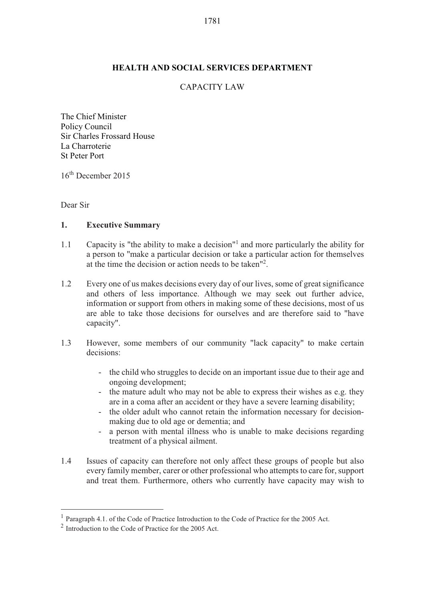#### **HEALTH AND SOCIAL SERVICES DEPARTMENT**

# CAPACITY LAW

The Chief Minister Policy Council Sir Charles Frossard House La Charroterie St Peter Port

16th December 2015

Dear Sir

-

#### **1. Executive Summary**

- 1.1 Capacity is "the ability to make a decision"<sup>1</sup> and more particularly the ability for a person to "make a particular decision or take a particular action for themselves at the time the decision or action needs to be taken"2 .
- 1.2 Every one of us makes decisions every day of our lives, some of great significance and others of less importance. Although we may seek out further advice, information or support from others in making some of these decisions, most of us are able to take those decisions for ourselves and are therefore said to "have capacity".
- 1.3 However, some members of our community "lack capacity" to make certain decisions:
	- the child who struggles to decide on an important issue due to their age and ongoing development;
	- the mature adult who may not be able to express their wishes as e.g. they are in a coma after an accident or they have a severe learning disability;
	- the older adult who cannot retain the information necessary for decisionmaking due to old age or dementia; and
	- a person with mental illness who is unable to make decisions regarding treatment of a physical ailment.
- 1.4 Issues of capacity can therefore not only affect these groups of people but also every family member, carer or other professional who attempts to care for, support and treat them. Furthermore, others who currently have capacity may wish to

<sup>1</sup> Paragraph 4.1. of the Code of Practice Introduction to the Code of Practice for the 2005 Act.

 $2 \text{ Introduction}$  to the Code of Practice for the 2005 Act.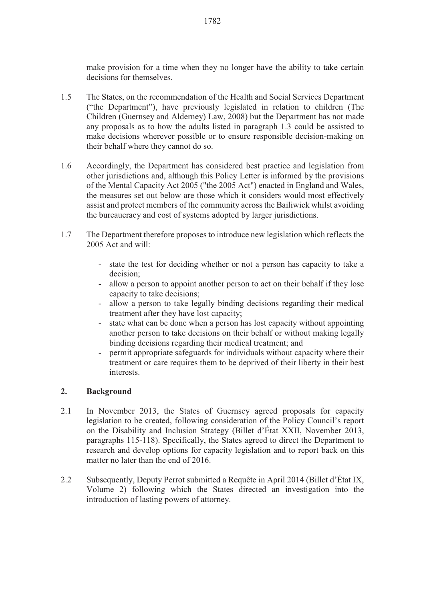make provision for a time when they no longer have the ability to take certain decisions for themselves.

- 1.5 The States, on the recommendation of the Health and Social Services Department ("the Department"), have previously legislated in relation to children (The Children (Guernsey and Alderney) Law, 2008) but the Department has not made any proposals as to how the adults listed in paragraph 1.3 could be assisted to make decisions wherever possible or to ensure responsible decision-making on their behalf where they cannot do so.
- 1.6 Accordingly, the Department has considered best practice and legislation from other jurisdictions and, although this Policy Letter is informed by the provisions of the Mental Capacity Act 2005 ("the 2005 Act") enacted in England and Wales, the measures set out below are those which it considers would most effectively assist and protect members of the community across the Bailiwick whilst avoiding the bureaucracy and cost of systems adopted by larger jurisdictions.
- 1.7 The Department therefore proposes to introduce new legislation which reflects the 2005 Act and will:
	- state the test for deciding whether or not a person has capacity to take a decision;
	- allow a person to appoint another person to act on their behalf if they lose capacity to take decisions;
	- allow a person to take legally binding decisions regarding their medical treatment after they have lost capacity;
	- state what can be done when a person has lost capacity without appointing another person to take decisions on their behalf or without making legally binding decisions regarding their medical treatment; and
	- permit appropriate safeguards for individuals without capacity where their treatment or care requires them to be deprived of their liberty in their best interests.

# **2. Background**

- 2.1 In November 2013, the States of Guernsey agreed proposals for capacity legislation to be created, following consideration of the Policy Council's report on the Disability and Inclusion Strategy (Billet d'État XXII, November 2013, paragraphs 115-118). Specifically, the States agreed to direct the Department to research and develop options for capacity legislation and to report back on this matter no later than the end of 2016.
- 2.2 Subsequently, Deputy Perrot submitted a Requête in April 2014 (Billet d'État IX, Volume 2) following which the States directed an investigation into the introduction of lasting powers of attorney.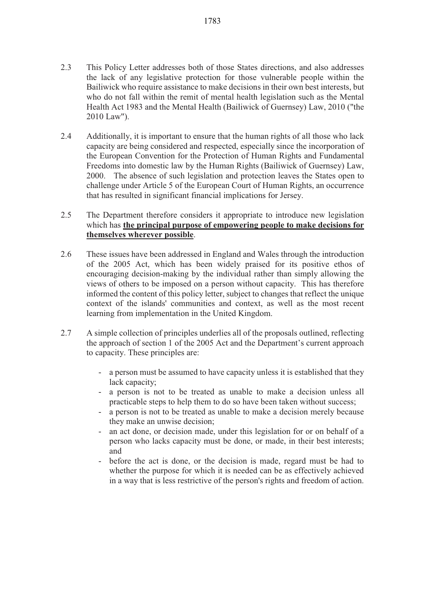- 2.3 This Policy Letter addresses both of those States directions, and also addresses the lack of any legislative protection for those vulnerable people within the Bailiwick who require assistance to make decisions in their own best interests, but who do not fall within the remit of mental health legislation such as the Mental Health Act 1983 and the Mental Health (Bailiwick of Guernsey) Law, 2010 ("the 2010 Law").
- 2.4 Additionally, it is important to ensure that the human rights of all those who lack capacity are being considered and respected, especially since the incorporation of the European Convention for the Protection of Human Rights and Fundamental Freedoms into domestic law by the Human Rights (Bailiwick of Guernsey) Law, 2000. The absence of such legislation and protection leaves the States open to challenge under Article 5 of the European Court of Human Rights, an occurrence that has resulted in significant financial implications for Jersey.
- 2.5 The Department therefore considers it appropriate to introduce new legislation which has **the principal purpose of empowering people to make decisions for themselves wherever possible**.
- 2.6 These issues have been addressed in England and Wales through the introduction of the 2005 Act, which has been widely praised for its positive ethos of encouraging decision-making by the individual rather than simply allowing the views of others to be imposed on a person without capacity. This has therefore informed the content of this policy letter, subject to changes that reflect the unique context of the islands' communities and context, as well as the most recent learning from implementation in the United Kingdom.
- 2.7 A simple collection of principles underlies all of the proposals outlined, reflecting the approach of section 1 of the 2005 Act and the Department's current approach to capacity. These principles are:
	- a person must be assumed to have capacity unless it is established that they lack capacity;
	- a person is not to be treated as unable to make a decision unless all practicable steps to help them to do so have been taken without success;
	- a person is not to be treated as unable to make a decision merely because they make an unwise decision;
	- an act done, or decision made, under this legislation for or on behalf of a person who lacks capacity must be done, or made, in their best interests; and
	- before the act is done, or the decision is made, regard must be had to whether the purpose for which it is needed can be as effectively achieved in a way that is less restrictive of the person's rights and freedom of action.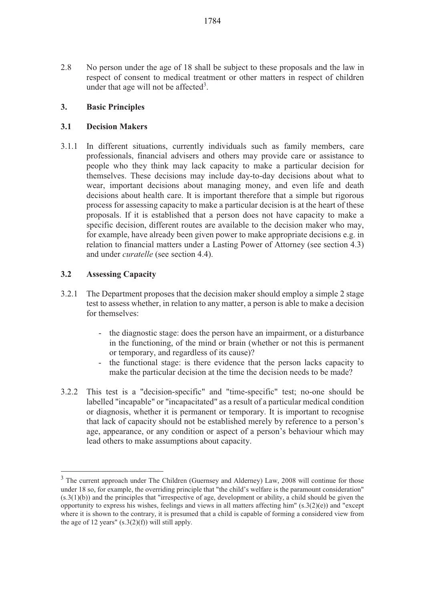2.8 No person under the age of 18 shall be subject to these proposals and the law in respect of consent to medical treatment or other matters in respect of children under that age will not be affected<sup>3</sup>.

# **3. Basic Principles**

# **3.1 Decision Makers**

3.1.1 In different situations, currently individuals such as family members, care professionals, financial advisers and others may provide care or assistance to people who they think may lack capacity to make a particular decision for themselves. These decisions may include day-to-day decisions about what to wear, important decisions about managing money, and even life and death decisions about health care. It is important therefore that a simple but rigorous process for assessing capacity to make a particular decision is at the heart of these proposals. If it is established that a person does not have capacity to make a specific decision, different routes are available to the decision maker who may, for example, have already been given power to make appropriate decisions e.g. in relation to financial matters under a Lasting Power of Attorney (see section 4.3) and under *curatelle* (see section 4.4).

# **3.2 Assessing Capacity**

- 3.2.1 The Department proposes that the decision maker should employ a simple 2 stage test to assess whether, in relation to any matter, a person is able to make a decision for themselves:
	- the diagnostic stage: does the person have an impairment, or a disturbance in the functioning, of the mind or brain (whether or not this is permanent or temporary, and regardless of its cause)?
	- the functional stage: is there evidence that the person lacks capacity to make the particular decision at the time the decision needs to be made?
- 3.2.2 This test is a "decision-specific" and "time-specific" test; no-one should be labelled "incapable" or "incapacitated" as a result of a particular medical condition or diagnosis, whether it is permanent or temporary. It is important to recognise that lack of capacity should not be established merely by reference to a person's age, appearance, or any condition or aspect of a person's behaviour which may lead others to make assumptions about capacity.

<sup>&</sup>lt;sup>3</sup> The current approach under The Children (Guernsey and Alderney) Law, 2008 will continue for those under 18 so, for example, the overriding principle that "the child's welfare is the paramount consideration" (s.3(1)(b)) and the principles that "irrespective of age, development or ability, a child should be given the opportunity to express his wishes, feelings and views in all matters affecting him"  $(s.3(2)(e))$  and "except" where it is shown to the contrary, it is presumed that a child is capable of forming a considered view from the age of 12 years"  $(s.3(2)(f))$  will still apply.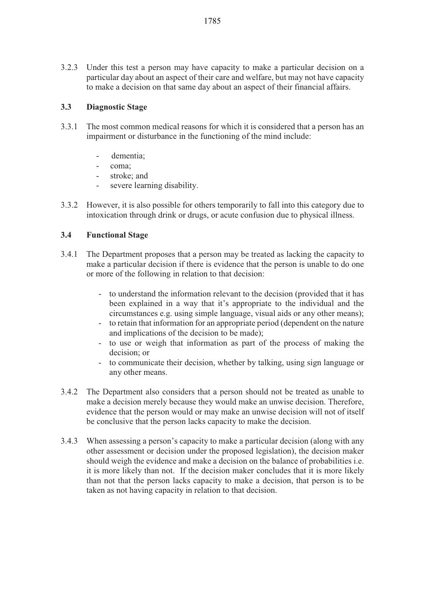3.2.3 Under this test a person may have capacity to make a particular decision on a particular day about an aspect of their care and welfare, but may not have capacity to make a decision on that same day about an aspect of their financial affairs.

### **3.3 Diagnostic Stage**

- 3.3.1 The most common medical reasons for which it is considered that a person has an impairment or disturbance in the functioning of the mind include:
	- dementia;
	- coma;
	- stroke; and
	- severe learning disability.
- 3.3.2 However, it is also possible for others temporarily to fall into this category due to intoxication through drink or drugs, or acute confusion due to physical illness.

### **3.4 Functional Stage**

- 3.4.1 The Department proposes that a person may be treated as lacking the capacity to make a particular decision if there is evidence that the person is unable to do one or more of the following in relation to that decision:
	- to understand the information relevant to the decision (provided that it has been explained in a way that it's appropriate to the individual and the circumstances e.g. using simple language, visual aids or any other means);
	- to retain that information for an appropriate period (dependent on the nature and implications of the decision to be made);
	- to use or weigh that information as part of the process of making the decision; or
	- to communicate their decision, whether by talking, using sign language or any other means.
- 3.4.2 The Department also considers that a person should not be treated as unable to make a decision merely because they would make an unwise decision. Therefore, evidence that the person would or may make an unwise decision will not of itself be conclusive that the person lacks capacity to make the decision.
- 3.4.3 When assessing a person's capacity to make a particular decision (along with any other assessment or decision under the proposed legislation), the decision maker should weigh the evidence and make a decision on the balance of probabilities i.e. it is more likely than not. If the decision maker concludes that it is more likely than not that the person lacks capacity to make a decision, that person is to be taken as not having capacity in relation to that decision.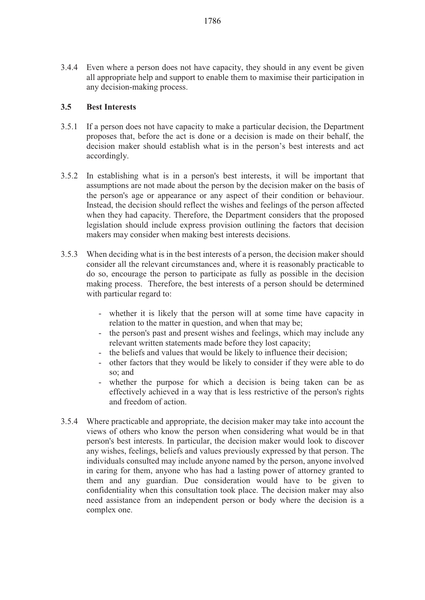3.4.4 Even where a person does not have capacity, they should in any event be given all appropriate help and support to enable them to maximise their participation in any decision-making process.

#### **3.5 Best Interests**

- 3.5.1 If a person does not have capacity to make a particular decision, the Department proposes that, before the act is done or a decision is made on their behalf, the decision maker should establish what is in the person's best interests and act accordingly.
- 3.5.2 In establishing what is in a person's best interests, it will be important that assumptions are not made about the person by the decision maker on the basis of the person's age or appearance or any aspect of their condition or behaviour. Instead, the decision should reflect the wishes and feelings of the person affected when they had capacity. Therefore, the Department considers that the proposed legislation should include express provision outlining the factors that decision makers may consider when making best interests decisions.
- 3.5.3 When deciding what is in the best interests of a person, the decision maker should consider all the relevant circumstances and, where it is reasonably practicable to do so, encourage the person to participate as fully as possible in the decision making process. Therefore, the best interests of a person should be determined with particular regard to:
	- whether it is likely that the person will at some time have capacity in relation to the matter in question, and when that may be;
	- the person's past and present wishes and feelings, which may include any relevant written statements made before they lost capacity;
	- the beliefs and values that would be likely to influence their decision;
	- other factors that they would be likely to consider if they were able to do so; and
	- whether the purpose for which a decision is being taken can be as effectively achieved in a way that is less restrictive of the person's rights and freedom of action.
- 3.5.4 Where practicable and appropriate, the decision maker may take into account the views of others who know the person when considering what would be in that person's best interests. In particular, the decision maker would look to discover any wishes, feelings, beliefs and values previously expressed by that person. The individuals consulted may include anyone named by the person, anyone involved in caring for them, anyone who has had a lasting power of attorney granted to them and any guardian. Due consideration would have to be given to confidentiality when this consultation took place. The decision maker may also need assistance from an independent person or body where the decision is a complex one.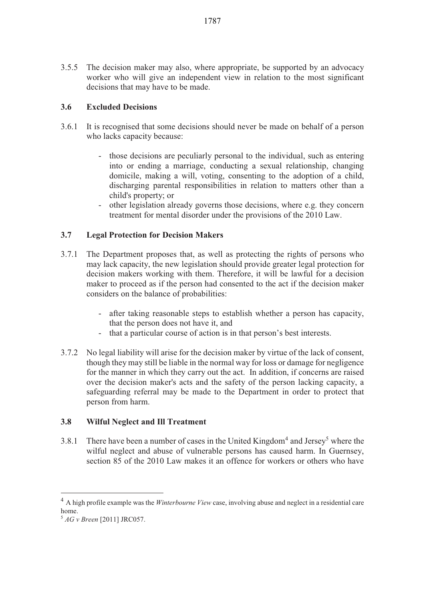3.5.5 The decision maker may also, where appropriate, be supported by an advocacy worker who will give an independent view in relation to the most significant decisions that may have to be made.

# **3.6 Excluded Decisions**

- 3.6.1 It is recognised that some decisions should never be made on behalf of a person who lacks capacity because:
	- those decisions are peculiarly personal to the individual, such as entering into or ending a marriage, conducting a sexual relationship, changing domicile, making a will, voting, consenting to the adoption of a child, discharging parental responsibilities in relation to matters other than a child's property; or
	- other legislation already governs those decisions, where e.g. they concern treatment for mental disorder under the provisions of the 2010 Law.

### **3.7 Legal Protection for Decision Makers**

- 3.7.1 The Department proposes that, as well as protecting the rights of persons who may lack capacity, the new legislation should provide greater legal protection for decision makers working with them. Therefore, it will be lawful for a decision maker to proceed as if the person had consented to the act if the decision maker considers on the balance of probabilities:
	- after taking reasonable steps to establish whether a person has capacity, that the person does not have it, and
	- that a particular course of action is in that person's best interests.
- 3.7.2 No legal liability will arise for the decision maker by virtue of the lack of consent, though they may still be liable in the normal way for loss or damage for negligence for the manner in which they carry out the act. In addition, if concerns are raised over the decision maker's acts and the safety of the person lacking capacity, a safeguarding referral may be made to the Department in order to protect that person from harm.

#### **3.8 Wilful Neglect and Ill Treatment**

3.8.1 There have been a number of cases in the United Kingdom<sup>4</sup> and Jersey<sup>5</sup> where the wilful neglect and abuse of vulnerable persons has caused harm. In Guernsey, section 85 of the 2010 Law makes it an offence for workers or others who have

 $\overline{a}$ 

<sup>4</sup> A high profile example was the *Winterbourne View* case, involving abuse and neglect in a residential care home.

<sup>5</sup> *AG v Breen* [2011] JRC057.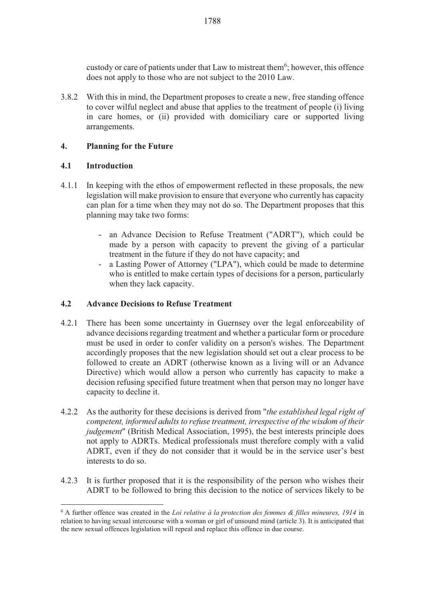custody or care of patients under that Law to mistreat them<sup>6</sup>; however, this offence does not apply to those who are not subject to the 2010 Law.

3.8.2 With this in mind, the Department proposes to create a new, free standing offence to cover wilful neglect and abuse that applies to the treatment of people (i) living in care homes, or (ii) provided with domiciliary care or supported living arrangements.

# **4. Planning for the Future**

#### **4.1 Introduction**

- 4.1.1 In keeping with the ethos of empowerment reflected in these proposals, the new legislation will make provision to ensure that everyone who currently has capacity can plan for a time when they may not do so. The Department proposes that this planning may take two forms:
	- an Advance Decision to Refuse Treatment ("ADRT"), which could be made by a person with capacity to prevent the giving of a particular treatment in the future if they do not have capacity; and
	- a Lasting Power of Attorney ("LPA"), which could be made to determine who is entitled to make certain types of decisions for a person, particularly when they lack capacity.

#### **4.2 Advance Decisions to Refuse Treatment**

- 4.2.1 There has been some uncertainty in Guernsey over the legal enforceability of advance decisions regarding treatment and whether a particular form or procedure must be used in order to confer validity on a person's wishes. The Department accordingly proposes that the new legislation should set out a clear process to be followed to create an ADRT (otherwise known as a living will or an Advance Directive) which would allow a person who currently has capacity to make a decision refusing specified future treatment when that person may no longer have capacity to decline it.
- 4.2.2 As the authority for these decisions is derived from "*the established legal right of competent, informed adults to refuse treatment, irrespective of the wisdom of their judgement*" (British Medical Association, 1995), the best interests principle does not apply to ADRTs. Medical professionals must therefore comply with a valid ADRT, even if they do not consider that it would be in the service user's best interests to do so.
- 4.2.3 It is further proposed that it is the responsibility of the person who wishes their ADRT to be followed to bring this decision to the notice of services likely to be

<sup>-</sup>6 A further offence was created in the *Loi relative à la protection des femmes & filles mineures, 1914* in relation to having sexual intercourse with a woman or girl of unsound mind (article 3). It is anticipated that the new sexual offences legislation will repeal and replace this offence in due course.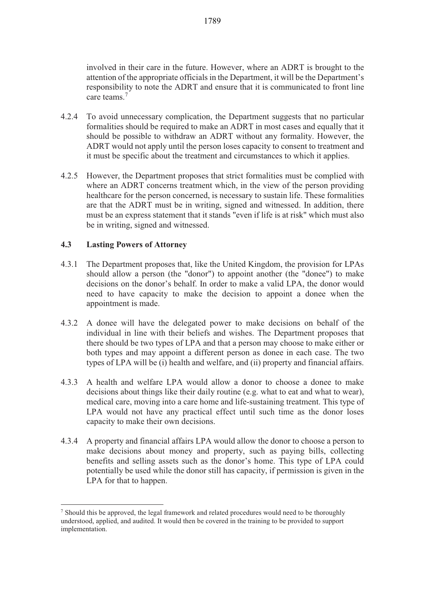- 4.2.4 To avoid unnecessary complication, the Department suggests that no particular formalities should be required to make an ADRT in most cases and equally that it should be possible to withdraw an ADRT without any formality. However, the ADRT would not apply until the person loses capacity to consent to treatment and it must be specific about the treatment and circumstances to which it applies.
- 4.2.5 However, the Department proposes that strict formalities must be complied with where an ADRT concerns treatment which, in the view of the person providing healthcare for the person concerned, is necessary to sustain life. These formalities are that the ADRT must be in writing, signed and witnessed. In addition, there must be an express statement that it stands "even if life is at risk" which must also be in writing, signed and witnessed.

# **4.3 Lasting Powers of Attorney**

- 4.3.1 The Department proposes that, like the United Kingdom, the provision for LPAs should allow a person (the "donor") to appoint another (the "donee") to make decisions on the donor's behalf. In order to make a valid LPA, the donor would need to have capacity to make the decision to appoint a donee when the appointment is made.
- 4.3.2 A donee will have the delegated power to make decisions on behalf of the individual in line with their beliefs and wishes. The Department proposes that there should be two types of LPA and that a person may choose to make either or both types and may appoint a different person as donee in each case. The two types of LPA will be (i) health and welfare, and (ii) property and financial affairs.
- 4.3.3 A health and welfare LPA would allow a donor to choose a donee to make decisions about things like their daily routine (e.g. what to eat and what to wear), medical care, moving into a care home and life-sustaining treatment. This type of LPA would not have any practical effect until such time as the donor loses capacity to make their own decisions.
- 4.3.4 A property and financial affairs LPA would allow the donor to choose a person to make decisions about money and property, such as paying bills, collecting benefits and selling assets such as the donor's home. This type of LPA could potentially be used while the donor still has capacity, if permission is given in the LPA for that to happen.

 $\overline{a}$ <sup>7</sup> Should this be approved, the legal framework and related procedures would need to be thoroughly understood, applied, and audited. It would then be covered in the training to be provided to support implementation.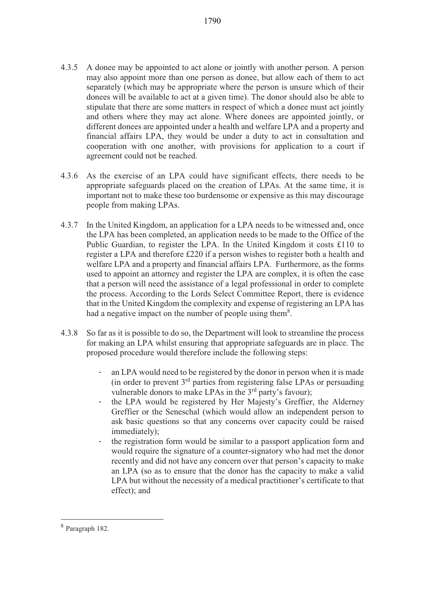- 4.3.5 A donee may be appointed to act alone or jointly with another person. A person may also appoint more than one person as donee, but allow each of them to act separately (which may be appropriate where the person is unsure which of their donees will be available to act at a given time). The donor should also be able to stipulate that there are some matters in respect of which a donee must act jointly and others where they may act alone. Where donees are appointed jointly, or different donees are appointed under a health and welfare LPA and a property and financial affairs LPA, they would be under a duty to act in consultation and cooperation with one another, with provisions for application to a court if agreement could not be reached.
- 4.3.6 As the exercise of an LPA could have significant effects, there needs to be appropriate safeguards placed on the creation of LPAs. At the same time, it is important not to make these too burdensome or expensive as this may discourage people from making LPAs.
- 4.3.7 In the United Kingdom, an application for a LPA needs to be witnessed and, once the LPA has been completed, an application needs to be made to the Office of the Public Guardian, to register the LPA. In the United Kingdom it costs £110 to register a LPA and therefore £220 if a person wishes to register both a health and welfare LPA and a property and financial affairs LPA. Furthermore, as the forms used to appoint an attorney and register the LPA are complex, it is often the case that a person will need the assistance of a legal professional in order to complete the process. According to the Lords Select Committee Report, there is evidence that in the United Kingdom the complexity and expense of registering an LPA has had a negative impact on the number of people using them $8$ .
- 4.3.8 So far as it is possible to do so, the Department will look to streamline the process for making an LPA whilst ensuring that appropriate safeguards are in place. The proposed procedure would therefore include the following steps:
	- an LPA would need to be registered by the donor in person when it is made (in order to prevent 3rd parties from registering false LPAs or persuading vulnerable donors to make LPAs in the 3<sup>rd</sup> party's favour);
	- the LPA would be registered by Her Majesty's Greffier, the Alderney Greffier or the Seneschal (which would allow an independent person to ask basic questions so that any concerns over capacity could be raised immediately);
	- the registration form would be similar to a passport application form and would require the signature of a counter-signatory who had met the donor recently and did not have any concern over that person's capacity to make an LPA (so as to ensure that the donor has the capacity to make a valid LPA but without the necessity of a medical practitioner's certificate to that effect); and

<sup>8</sup> Paragraph 182.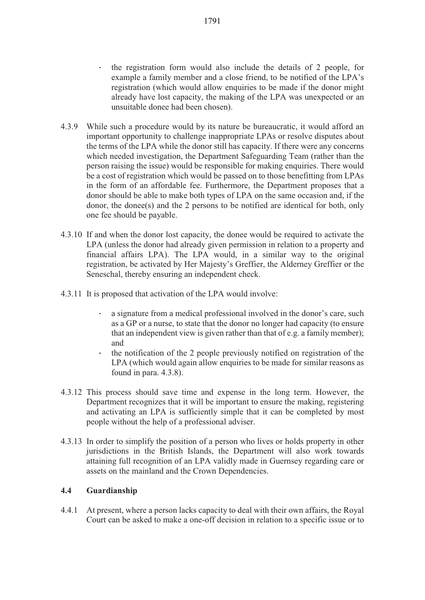- the registration form would also include the details of 2 people, for example a family member and a close friend, to be notified of the LPA's registration (which would allow enquiries to be made if the donor might already have lost capacity, the making of the LPA was unexpected or an unsuitable donee had been chosen).
- 4.3.9 While such a procedure would by its nature be bureaucratic, it would afford an important opportunity to challenge inappropriate LPAs or resolve disputes about the terms of the LPA while the donor still has capacity. If there were any concerns which needed investigation, the Department Safeguarding Team (rather than the person raising the issue) would be responsible for making enquiries. There would be a cost of registration which would be passed on to those benefitting from LPAs in the form of an affordable fee. Furthermore, the Department proposes that a donor should be able to make both types of LPA on the same occasion and, if the donor, the donee(s) and the 2 persons to be notified are identical for both, only one fee should be payable.
- 4.3.10 If and when the donor lost capacity, the donee would be required to activate the LPA (unless the donor had already given permission in relation to a property and financial affairs LPA). The LPA would, in a similar way to the original registration, be activated by Her Majesty's Greffier, the Alderney Greffier or the Seneschal, thereby ensuring an independent check.
- 4.3.11 It is proposed that activation of the LPA would involve:
	- a signature from a medical professional involved in the donor's care, such as a GP or a nurse, to state that the donor no longer had capacity (to ensure that an independent view is given rather than that of e.g. a family member); and
	- the notification of the 2 people previously notified on registration of the LPA (which would again allow enquiries to be made for similar reasons as found in para. 4.3.8).
- 4.3.12 This process should save time and expense in the long term. However, the Department recognizes that it will be important to ensure the making, registering and activating an LPA is sufficiently simple that it can be completed by most people without the help of a professional adviser.
- 4.3.13 In order to simplify the position of a person who lives or holds property in other jurisdictions in the British Islands, the Department will also work towards attaining full recognition of an LPA validly made in Guernsey regarding care or assets on the mainland and the Crown Dependencies.

# **4.4 Guardianship**

4.4.1 At present, where a person lacks capacity to deal with their own affairs, the Royal Court can be asked to make a one-off decision in relation to a specific issue or to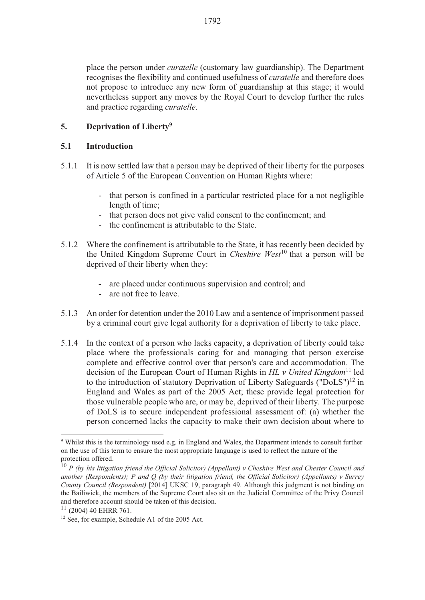# **5. Deprivation of Liberty9**

### **5.1 Introduction**

- 5.1.1 It is now settled law that a person may be deprived of their liberty for the purposes of Article 5 of the European Convention on Human Rights where:
	- that person is confined in a particular restricted place for a not negligible length of time;
	- that person does not give valid consent to the confinement; and
	- the confinement is attributable to the State.
- 5.1.2 Where the confinement is attributable to the State, it has recently been decided by the United Kingdom Supreme Court in *Cheshire West*10 that a person will be deprived of their liberty when they:
	- are placed under continuous supervision and control; and
	- are not free to leave.
- 5.1.3 An order for detention under the 2010 Law and a sentence of imprisonment passed by a criminal court give legal authority for a deprivation of liberty to take place.
- 5.1.4 In the context of a person who lacks capacity, a deprivation of liberty could take place where the professionals caring for and managing that person exercise complete and effective control over that person's care and accommodation. The decision of the European Court of Human Rights in *HL v United Kingdom*<sup>11</sup> led to the introduction of statutory Deprivation of Liberty Safeguards (" $\overline{Do}$ LS")<sup>12</sup> in England and Wales as part of the 2005 Act; these provide legal protection for those vulnerable people who are, or may be, deprived of their liberty. The purpose of DoLS is to secure independent professional assessment of: (a) whether the person concerned lacks the capacity to make their own decision about where to

<sup>-</sup><sup>9</sup> Whilst this is the terminology used e.g. in England and Wales, the Department intends to consult further on the use of this term to ensure the most appropriate language is used to reflect the nature of the protection offered.

<sup>10</sup> *P (by his litigation friend the Official Solicitor) (Appellant) v Cheshire West and Chester Council and another (Respondents); P and Q (by their litigation friend, the Official Solicitor) (Appellants) v Surrey County Council (Respondent)* [2014] UKSC 19, paragraph 49. Although this judgment is not binding on the Bailiwick, the members of the Supreme Court also sit on the Judicial Committee of the Privy Council and therefore account should be taken of this decision.

 $11$  (2004) 40 EHRR 761.

 $12$  See, for example, Schedule A1 of the 2005 Act.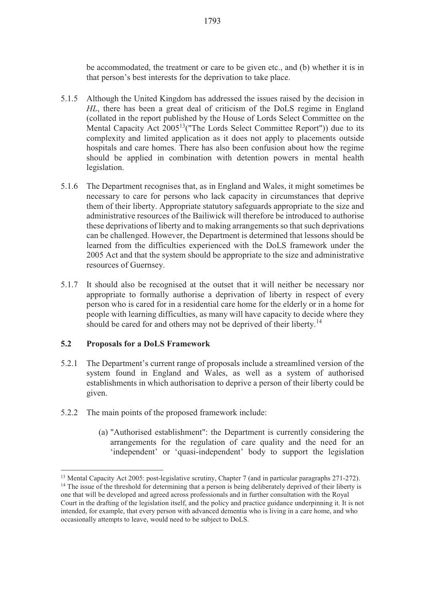be accommodated, the treatment or care to be given etc., and (b) whether it is in that person's best interests for the deprivation to take place.

- 5.1.5 Although the United Kingdom has addressed the issues raised by the decision in *HL*, there has been a great deal of criticism of the DoLS regime in England (collated in the report published by the House of Lords Select Committee on the Mental Capacity Act 2005<sup>13</sup> ("The Lords Select Committee Report")) due to its complexity and limited application as it does not apply to placements outside hospitals and care homes. There has also been confusion about how the regime should be applied in combination with detention powers in mental health legislation.
- 5.1.6 The Department recognises that, as in England and Wales, it might sometimes be necessary to care for persons who lack capacity in circumstances that deprive them of their liberty. Appropriate statutory safeguards appropriate to the size and administrative resources of the Bailiwick will therefore be introduced to authorise these deprivations of liberty and to making arrangements so that such deprivations can be challenged. However, the Department is determined that lessons should be learned from the difficulties experienced with the DoLS framework under the 2005 Act and that the system should be appropriate to the size and administrative resources of Guernsey.
- 5.1.7 It should also be recognised at the outset that it will neither be necessary nor appropriate to formally authorise a deprivation of liberty in respect of every person who is cared for in a residential care home for the elderly or in a home for people with learning difficulties, as many will have capacity to decide where they should be cared for and others may not be deprived of their liberty.<sup>14</sup>

#### **5.2 Proposals for a DoLS Framework**

- 5.2.1 The Department's current range of proposals include a streamlined version of the system found in England and Wales, as well as a system of authorised establishments in which authorisation to deprive a person of their liberty could be given.
- 5.2.2 The main points of the proposed framework include:
	- (a) "Authorised establishment": the Department is currently considering the arrangements for the regulation of care quality and the need for an 'independent' or 'quasi-independent' body to support the legislation

<sup>13</sup> Mental Capacity Act 2005: post-legislative scrutiny, Chapter 7 (and in particular paragraphs 271-272). <sup>14</sup> The issue of the threshold for determining that a person is being deliberately deprived of their liberty is one that will be developed and agreed across professionals and in further consultation with the Royal Court in the drafting of the legislation itself, and the policy and practice guidance underpinning it. It is not intended, for example, that every person with advanced dementia who is living in a care home, and who occasionally attempts to leave, would need to be subject to DoLS.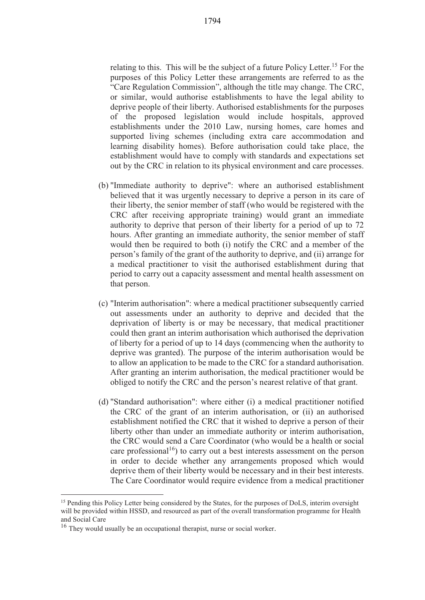relating to this. This will be the subject of a future Policy Letter.<sup>15</sup> For the purposes of this Policy Letter these arrangements are referred to as the "Care Regulation Commission", although the title may change. The CRC, or similar, would authorise establishments to have the legal ability to deprive people of their liberty. Authorised establishments for the purposes of the proposed legislation would include hospitals, approved establishments under the 2010 Law, nursing homes, care homes and supported living schemes (including extra care accommodation and learning disability homes). Before authorisation could take place, the establishment would have to comply with standards and expectations set out by the CRC in relation to its physical environment and care processes.

- (b) "Immediate authority to deprive": where an authorised establishment believed that it was urgently necessary to deprive a person in its care of their liberty, the senior member of staff (who would be registered with the CRC after receiving appropriate training) would grant an immediate authority to deprive that person of their liberty for a period of up to 72 hours. After granting an immediate authority, the senior member of staff would then be required to both (i) notify the CRC and a member of the person's family of the grant of the authority to deprive, and (ii) arrange for a medical practitioner to visit the authorised establishment during that period to carry out a capacity assessment and mental health assessment on that person.
- (c) "Interim authorisation": where a medical practitioner subsequently carried out assessments under an authority to deprive and decided that the deprivation of liberty is or may be necessary, that medical practitioner could then grant an interim authorisation which authorised the deprivation of liberty for a period of up to 14 days (commencing when the authority to deprive was granted). The purpose of the interim authorisation would be to allow an application to be made to the CRC for a standard authorisation. After granting an interim authorisation, the medical practitioner would be obliged to notify the CRC and the person's nearest relative of that grant.
- (d) "Standard authorisation": where either (i) a medical practitioner notified the CRC of the grant of an interim authorisation, or (ii) an authorised establishment notified the CRC that it wished to deprive a person of their liberty other than under an immediate authority or interim authorisation, the CRC would send a Care Coordinator (who would be a health or social care professional<sup>16</sup>) to carry out a best interests assessment on the person in order to decide whether any arrangements proposed which would deprive them of their liberty would be necessary and in their best interests. The Care Coordinator would require evidence from a medical practitioner

<sup>&</sup>lt;sup>15</sup> Pending this Policy Letter being considered by the States, for the purposes of DoLS, interim oversight will be provided within HSSD, and resourced as part of the overall transformation programme for Health and Social Care

<sup>&</sup>lt;sup>16</sup> They would usually be an occupational therapist, nurse or social worker.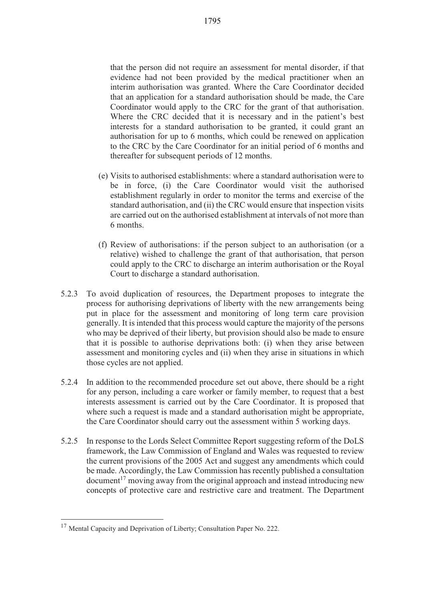that the person did not require an assessment for mental disorder, if that evidence had not been provided by the medical practitioner when an interim authorisation was granted. Where the Care Coordinator decided that an application for a standard authorisation should be made, the Care Coordinator would apply to the CRC for the grant of that authorisation. Where the CRC decided that it is necessary and in the patient's best interests for a standard authorisation to be granted, it could grant an authorisation for up to 6 months, which could be renewed on application to the CRC by the Care Coordinator for an initial period of 6 months and thereafter for subsequent periods of 12 months.

- (e) Visits to authorised establishments: where a standard authorisation were to be in force, (i) the Care Coordinator would visit the authorised establishment regularly in order to monitor the terms and exercise of the standard authorisation, and (ii) the CRC would ensure that inspection visits are carried out on the authorised establishment at intervals of not more than 6 months.
- (f) Review of authorisations: if the person subject to an authorisation (or a relative) wished to challenge the grant of that authorisation, that person could apply to the CRC to discharge an interim authorisation or the Royal Court to discharge a standard authorisation.
- 5.2.3 To avoid duplication of resources, the Department proposes to integrate the process for authorising deprivations of liberty with the new arrangements being put in place for the assessment and monitoring of long term care provision generally. It is intended that this process would capture the majority of the persons who may be deprived of their liberty, but provision should also be made to ensure that it is possible to authorise deprivations both: (i) when they arise between assessment and monitoring cycles and (ii) when they arise in situations in which those cycles are not applied.
- 5.2.4 In addition to the recommended procedure set out above, there should be a right for any person, including a care worker or family member, to request that a best interests assessment is carried out by the Care Coordinator. It is proposed that where such a request is made and a standard authorisation might be appropriate, the Care Coordinator should carry out the assessment within 5 working days.
- 5.2.5 In response to the Lords Select Committee Report suggesting reform of the DoLS framework, the Law Commission of England and Wales was requested to review the current provisions of the 2005 Act and suggest any amendments which could be made. Accordingly, the Law Commission has recently published a consultation  $\alpha$  document<sup>17</sup> moving away from the original approach and instead introducing new concepts of protective care and restrictive care and treatment. The Department

<sup>&</sup>lt;sup>17</sup> Mental Capacity and Deprivation of Liberty; Consultation Paper No. 222.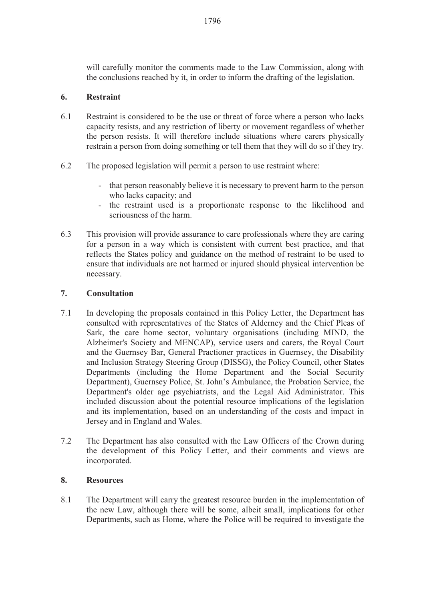will carefully monitor the comments made to the Law Commission, along with the conclusions reached by it, in order to inform the drafting of the legislation.

# **6. Restraint**

- 6.1 Restraint is considered to be the use or threat of force where a person who lacks capacity resists, and any restriction of liberty or movement regardless of whether the person resists. It will therefore include situations where carers physically restrain a person from doing something or tell them that they will do so if they try.
- 6.2 The proposed legislation will permit a person to use restraint where:
	- that person reasonably believe it is necessary to prevent harm to the person who lacks capacity; and
	- the restraint used is a proportionate response to the likelihood and seriousness of the harm.
- 6.3 This provision will provide assurance to care professionals where they are caring for a person in a way which is consistent with current best practice, and that reflects the States policy and guidance on the method of restraint to be used to ensure that individuals are not harmed or injured should physical intervention be necessary.

# **7. Consultation**

- 7.1 In developing the proposals contained in this Policy Letter, the Department has consulted with representatives of the States of Alderney and the Chief Pleas of Sark, the care home sector, voluntary organisations (including MIND, the Alzheimer's Society and MENCAP), service users and carers, the Royal Court and the Guernsey Bar, General Practioner practices in Guernsey, the Disability and Inclusion Strategy Steering Group (DISSG), the Policy Council, other States Departments (including the Home Department and the Social Security Department), Guernsey Police, St. John's Ambulance, the Probation Service, the Department's older age psychiatrists, and the Legal Aid Administrator. This included discussion about the potential resource implications of the legislation and its implementation, based on an understanding of the costs and impact in Jersey and in England and Wales.
- 7.2 The Department has also consulted with the Law Officers of the Crown during the development of this Policy Letter, and their comments and views are incorporated.

# **8. Resources**

8.1 The Department will carry the greatest resource burden in the implementation of the new Law, although there will be some, albeit small, implications for other Departments, such as Home, where the Police will be required to investigate the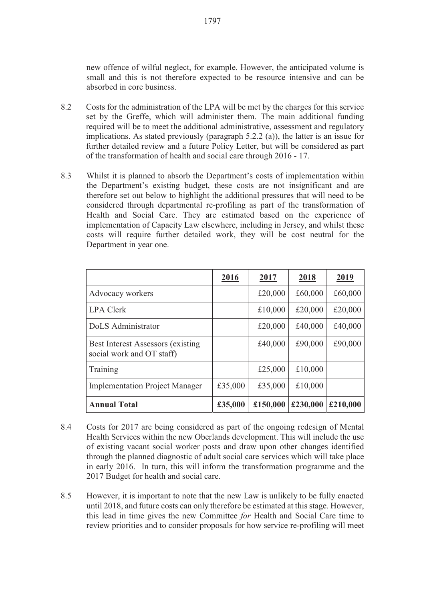new offence of wilful neglect, for example. However, the anticipated volume is small and this is not therefore expected to be resource intensive and can be absorbed in core business.

- 8.2 Costs for the administration of the LPA will be met by the charges for this service set by the Greffe, which will administer them. The main additional funding required will be to meet the additional administrative, assessment and regulatory implications. As stated previously (paragraph 5.2.2 (a)), the latter is an issue for further detailed review and a future Policy Letter, but will be considered as part of the transformation of health and social care through 2016 - 17.
- 8.3 Whilst it is planned to absorb the Department's costs of implementation within the Department's existing budget, these costs are not insignificant and are therefore set out below to highlight the additional pressures that will need to be considered through departmental re-profiling as part of the transformation of Health and Social Care. They are estimated based on the experience of implementation of Capacity Law elsewhere, including in Jersey, and whilst these costs will require further detailed work, they will be cost neutral for the Department in year one.

|                                                                        | 2016    | 2017     | 2018     | 2019     |
|------------------------------------------------------------------------|---------|----------|----------|----------|
| Advocacy workers                                                       |         | £20,000  | £60,000  | £60,000  |
| <b>LPA Clerk</b>                                                       |         | £10,000  | £20,000  | £20,000  |
| DoLS Administrator                                                     |         | £20,000  | £40,000  | £40,000  |
| <b>Best Interest Assessors (existing)</b><br>social work and OT staff) |         | £40,000  | £90,000  | £90,000  |
| Training                                                               |         | £25,000  | £10,000  |          |
| <b>Implementation Project Manager</b>                                  | £35,000 | £35,000  | £10,000  |          |
| <b>Annual Total</b>                                                    | £35,000 | £150,000 | £230,000 | £210,000 |

- 8.4 Costs for 2017 are being considered as part of the ongoing redesign of Mental Health Services within the new Oberlands development. This will include the use of existing vacant social worker posts and draw upon other changes identified through the planned diagnostic of adult social care services which will take place in early 2016. In turn, this will inform the transformation programme and the 2017 Budget for health and social care.
- 8.5 However, it is important to note that the new Law is unlikely to be fully enacted until 2018, and future costs can only therefore be estimated at this stage. However, this lead in time gives the new Committee *for* Health and Social Care time to review priorities and to consider proposals for how service re-profiling will meet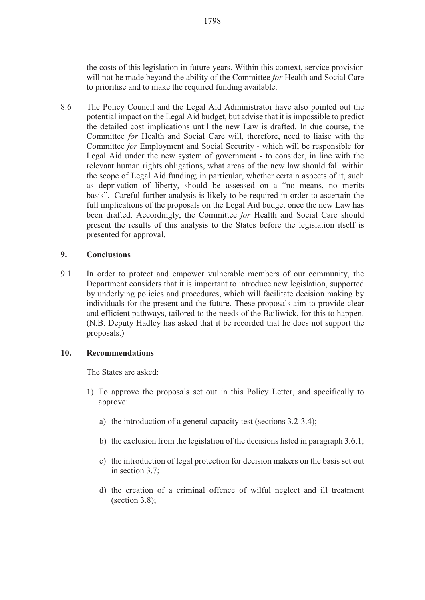the costs of this legislation in future years. Within this context, service provision will not be made beyond the ability of the Committee *for* Health and Social Care to prioritise and to make the required funding available.

8.6 The Policy Council and the Legal Aid Administrator have also pointed out the potential impact on the Legal Aid budget, but advise that it is impossible to predict the detailed cost implications until the new Law is drafted. In due course, the Committee *for* Health and Social Care will, therefore, need to liaise with the Committee *for* Employment and Social Security - which will be responsible for Legal Aid under the new system of government - to consider, in line with the relevant human rights obligations, what areas of the new law should fall within the scope of Legal Aid funding; in particular, whether certain aspects of it, such as deprivation of liberty, should be assessed on a "no means, no merits basis". Careful further analysis is likely to be required in order to ascertain the full implications of the proposals on the Legal Aid budget once the new Law has been drafted. Accordingly, the Committee *for* Health and Social Care should present the results of this analysis to the States before the legislation itself is presented for approval.

### **9. Conclusions**

9.1 In order to protect and empower vulnerable members of our community, the Department considers that it is important to introduce new legislation, supported by underlying policies and procedures, which will facilitate decision making by individuals for the present and the future. These proposals aim to provide clear and efficient pathways, tailored to the needs of the Bailiwick, for this to happen. (N.B. Deputy Hadley has asked that it be recorded that he does not support the proposals.)

#### **10. Recommendations**

The States are asked:

- 1) To approve the proposals set out in this Policy Letter, and specifically to approve:
	- a) the introduction of a general capacity test (sections 3.2-3.4);
	- b) the exclusion from the legislation of the decisions listed in paragraph 3.6.1;
	- c) the introduction of legal protection for decision makers on the basis set out in section 3.7;
	- d) the creation of a criminal offence of wilful neglect and ill treatment (section 3.8);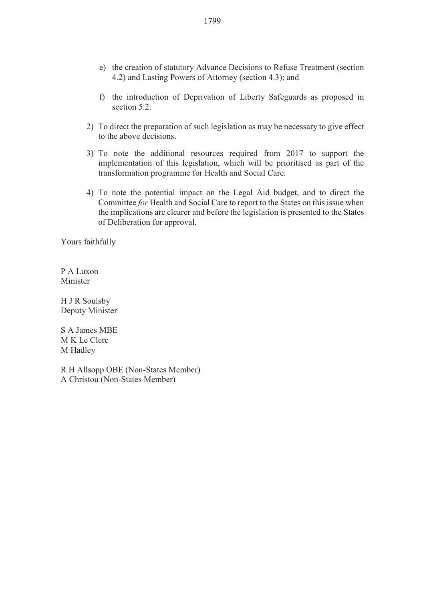- e) the creation of statutory Advance Decisions to Refuse Treatment (section 4.2) and Lasting Powers of Attorney (section 4.3); and
- f) the introduction of Deprivation of Liberty Safeguards as proposed in section 5.2.
- 2) To direct the preparation of such legislation as may be necessary to give effect to the above decisions.
- 3) To note the additional resources required from 2017 to support the implementation of this legislation, which will be prioritised as part of the transformation programme for Health and Social Care.
- 4) To note the potential impact on the Legal Aid budget, and to direct the Committee *for* Health and Social Care to report to the States on this issue when the implications are clearer and before the legislation is presented to the States of Deliberation for approval.

Yours faithfully

P A Luxon Minister

H J R Soulsby Deputy Minister

S A James MBE M K Le Clerc M Hadley

R H Allsopp OBE (Non-States Member) A Christou (Non-States Member)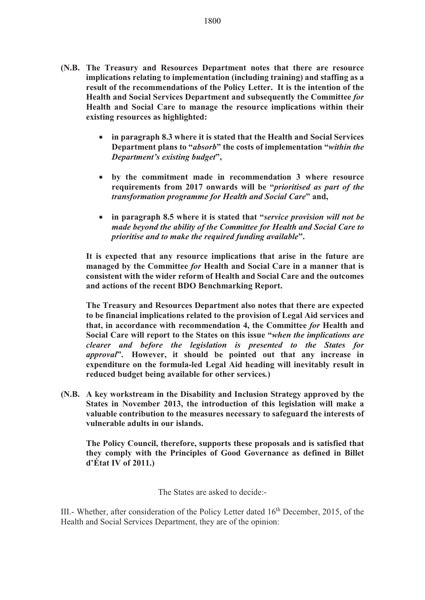- **(N.B. The Treasury and Resources Department notes that there are resource implications relating to implementation (including training) and staffing as a result of the recommendations of the Policy Letter. It is the intention of the Health and Social Services Department and subsequently the Committee** *for* **Health and Social Care to manage the resource implications within their existing resources as highlighted:** 
	- $\bullet$  **in paragraph 8.3 where it is stated that the Health and Social Services Department plans to "***absorb***" the costs of implementation "***within the Department's existing budget***",**
	- **by the commitment made in recommendation 3 where resource requirements from 2017 onwards will be "***prioritised as part of the transformation programme for Health and Social Care***" and,**
	- $\bullet$  **in paragraph 8.5 where it is stated that "***service provision will not be made beyond the ability of the Committee for Health and Social Care to prioritise and to make the required funding available***".**

**It is expected that any resource implications that arise in the future are managed by the Committee** *for* **Health and Social Care in a manner that is consistent with the wider reform of Health and Social Care and the outcomes and actions of the recent BDO Benchmarking Report.** 

**The Treasury and Resources Department also notes that there are expected to be financial implications related to the provision of Legal Aid services and that, in accordance with recommendation 4, the Committee** *for* **Health and Social Care will report to the States on this issue "***when the implications are clearer and before the legislation is presented to the States for approval***". However, it should be pointed out that any increase in expenditure on the formula-led Legal Aid heading will inevitably result in reduced budget being available for other services***.***)** 

**(N.B. A key workstream in the Disability and Inclusion Strategy approved by the States in November 2013, the introduction of this legislation will make a valuable contribution to the measures necessary to safeguard the interests of vulnerable adults in our islands.** 

**The Policy Council, therefore, supports these proposals and is satisfied that they comply with the Principles of Good Governance as defined in Billet d'État IV of 2011.)** 

The States are asked to decide:-

III.- Whether, after consideration of the Policy Letter dated  $16<sup>th</sup>$  December, 2015, of the Health and Social Services Department, they are of the opinion: